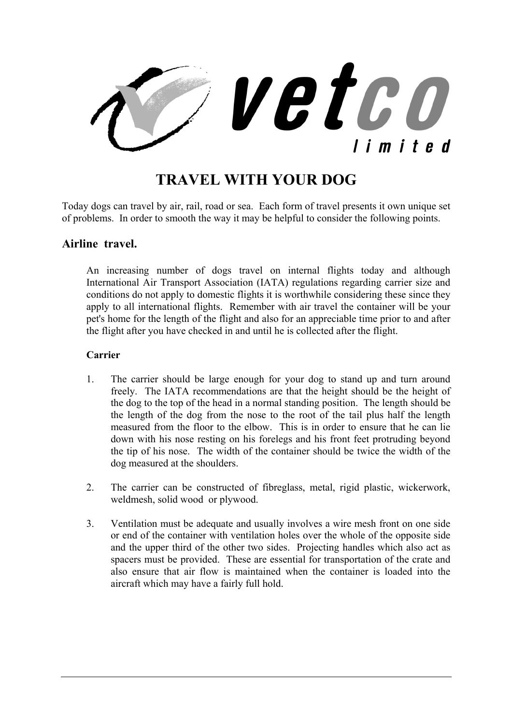

# **TRAVEL WITH YOUR DOG**

Today dogs can travel by air, rail, road or sea. Each form of travel presents it own unique set of problems. In order to smooth the way it may be helpful to consider the following points.

#### **Airline travel.**

An increasing number of dogs travel on internal flights today and although International Air Transport Association (IATA) regulations regarding carrier size and conditions do not apply to domestic flights it is worthwhile considering these since they apply to all international flights. Remember with air travel the container will be your pet's home for the length of the flight and also for an appreciable time prior to and after the flight after you have checked in and until he is collected after the flight.

#### **Carrier**

- 1. The carrier should be large enough for your dog to stand up and turn around freely. The IATA recommendations are that the height should be the height of the dog to the top of the head in a normal standing position. The length should be the length of the dog from the nose to the root of the tail plus half the length measured from the floor to the elbow. This is in order to ensure that he can lie down with his nose resting on his forelegs and his front feet protruding beyond the tip of his nose. The width of the container should be twice the width of the dog measured at the shoulders.
- 2. The carrier can be constructed of fibreglass, metal, rigid plastic, wickerwork, weldmesh, solid wood or plywood.
- 3. Ventilation must be adequate and usually involves a wire mesh front on one side or end of the container with ventilation holes over the whole of the opposite side and the upper third of the other two sides. Projecting handles which also act as spacers must be provided. These are essential for transportation of the crate and also ensure that air flow is maintained when the container is loaded into the aircraft which may have a fairly full hold.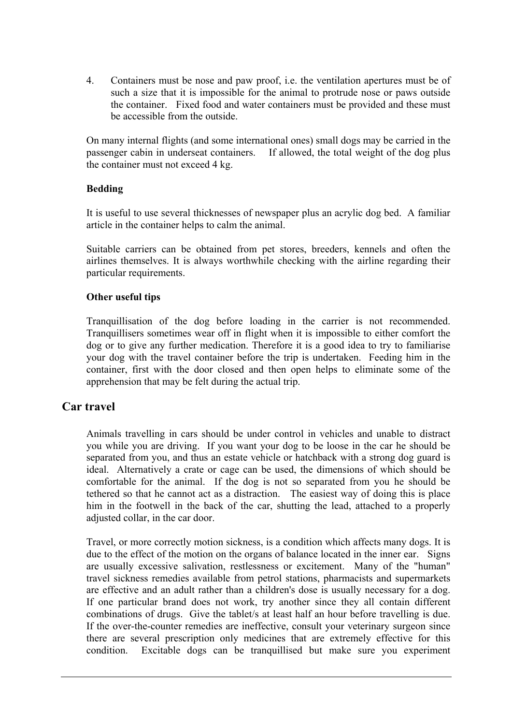4. Containers must be nose and paw proof, i.e. the ventilation apertures must be of such a size that it is impossible for the animal to protrude nose or paws outside the container. Fixed food and water containers must be provided and these must be accessible from the outside.

On many internal flights (and some international ones) small dogs may be carried in the passenger cabin in underseat containers. If allowed, the total weight of the dog plus the container must not exceed 4 kg.

#### **Bedding**

It is useful to use several thicknesses of newspaper plus an acrylic dog bed. A familiar article in the container helps to calm the animal.

Suitable carriers can be obtained from pet stores, breeders, kennels and often the airlines themselves. It is always worthwhile checking with the airline regarding their particular requirements.

#### **Other useful tips**

Tranquillisation of the dog before loading in the carrier is not recommended. Tranquillisers sometimes wear off in flight when it is impossible to either comfort the dog or to give any further medication. Therefore it is a good idea to try to familiarise your dog with the travel container before the trip is undertaken. Feeding him in the container, first with the door closed and then open helps to eliminate some of the apprehension that may be felt during the actual trip.

## **Car travel**

Animals travelling in cars should be under control in vehicles and unable to distract you while you are driving. If you want your dog to be loose in the car he should be separated from you, and thus an estate vehicle or hatchback with a strong dog guard is ideal. Alternatively a crate or cage can be used, the dimensions of which should be comfortable for the animal. If the dog is not so separated from you he should be tethered so that he cannot act as a distraction. The easiest way of doing this is place him in the footwell in the back of the car, shutting the lead, attached to a properly adjusted collar, in the car door.

Travel, or more correctly motion sickness, is a condition which affects many dogs. It is due to the effect of the motion on the organs of balance located in the inner ear. Signs are usually excessive salivation, restlessness or excitement. Many of the "human" travel sickness remedies available from petrol stations, pharmacists and supermarkets are effective and an adult rather than a children's dose is usually necessary for a dog. If one particular brand does not work, try another since they all contain different combinations of drugs. Give the tablet/s at least half an hour before travelling is due. If the over-the-counter remedies are ineffective, consult your veterinary surgeon since there are several prescription only medicines that are extremely effective for this condition. Excitable dogs can be tranquillised but make sure you experiment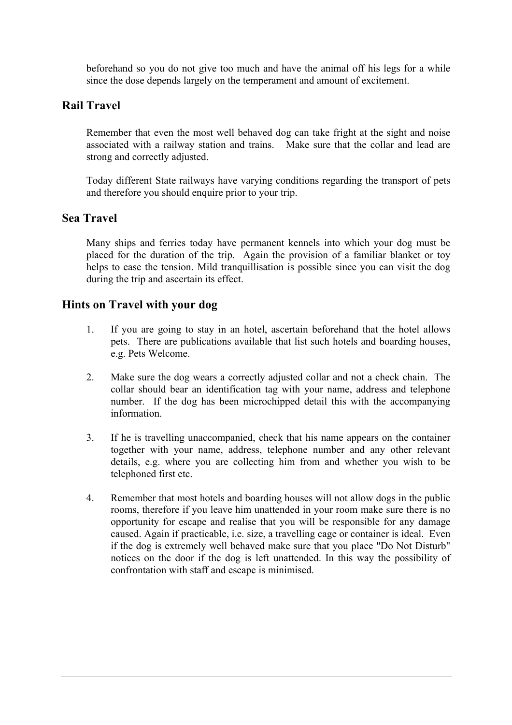beforehand so you do not give too much and have the animal off his legs for a while since the dose depends largely on the temperament and amount of excitement.

# **Rail Travel**

Remember that even the most well behaved dog can take fright at the sight and noise associated with a railway station and trains. Make sure that the collar and lead are strong and correctly adjusted.

Today different State railways have varying conditions regarding the transport of pets and therefore you should enquire prior to your trip.

## **Sea Travel**

Many ships and ferries today have permanent kennels into which your dog must be placed for the duration of the trip. Again the provision of a familiar blanket or toy helps to ease the tension. Mild tranquillisation is possible since you can visit the dog during the trip and ascertain its effect.

## **Hints on Travel with your dog**

- 1. If you are going to stay in an hotel, ascertain beforehand that the hotel allows pets. There are publications available that list such hotels and boarding houses, e.g. Pets Welcome.
- 2. Make sure the dog wears a correctly adjusted collar and not a check chain. The collar should bear an identification tag with your name, address and telephone number. If the dog has been microchipped detail this with the accompanying information.
- 3. If he is travelling unaccompanied, check that his name appears on the container together with your name, address, telephone number and any other relevant details, e.g. where you are collecting him from and whether you wish to be telephoned first etc.
- 4. Remember that most hotels and boarding houses will not allow dogs in the public rooms, therefore if you leave him unattended in your room make sure there is no opportunity for escape and realise that you will be responsible for any damage caused. Again if practicable, i.e. size, a travelling cage or container is ideal. Even if the dog is extremely well behaved make sure that you place "Do Not Disturb" notices on the door if the dog is left unattended. In this way the possibility of confrontation with staff and escape is minimised.